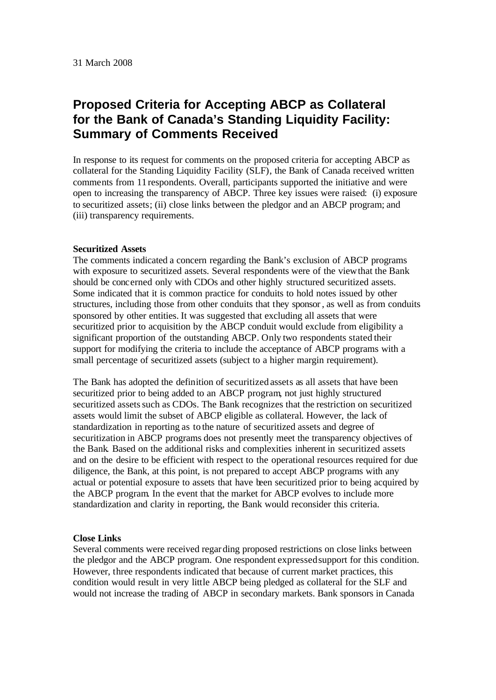# **Proposed Criteria for Accepting ABCP as Collateral for the Bank of Canada's Standing Liquidity Facility: Summary of Comments Received**

In response to its request for comments on the proposed criteria for accepting ABCP as collateral for the Standing Liquidity Facility (SLF), the Bank of Canada received written comments from 11 respondents. Overall, participants supported the initiative and were open to increasing the transparency of ABCP. Three key issues were raised: (i) exposure to securitized assets; (ii) close links between the pledgor and an ABCP program; and (iii) transparency requirements.

## **Securitized Assets**

The comments indicated a concern regarding the Bank's exclusion of ABCP programs with exposure to securitized assets. Several respondents were of the view that the Bank should be concerned only with CDOs and other highly structured securitized assets. Some indicated that it is common practice for conduits to hold notes issued by other structures, including those from other conduits that they sponsor, as well as from conduits sponsored by other entities. It was suggested that excluding all assets that were securitized prior to acquisition by the ABCP conduit would exclude from eligibility a significant proportion of the outstanding ABCP*.* Only two respondents stated their support for modifying the criteria to include the acceptance of ABCP programs with a small percentage of securitized assets (subject to a higher margin requirement).

The Bank has adopted the definition of securitized assets as all assets that have been securitized prior to being added to an ABCP program, not just highly structured securitized assets such as CDOs. The Bank recognizes that the restriction on securitized assets would limit the subset of ABCP eligible as collateral. However, the lack of standardization in reporting as to the nature of securitized assets and degree of securitization in ABCP programs does not presently meet the transparency objectives of the Bank. Based on the additional risks and complexities inherent in securitized assets and on the desire to be efficient with respect to the operational resources required for due diligence, the Bank, at this point, is not prepared to accept ABCP programs with any actual or potential exposure to assets that have been securitized prior to being acquired by the ABCP program. In the event that the market for ABCP evolves to include more standardization and clarity in reporting, the Bank would reconsider this criteria.

#### **Close Links**

Several comments were received regar ding proposed restrictions on close links between the pledgor and the ABCP program. One respondent expressed support for this condition. However, three respondents indicated that because of current market practices, this condition would result in very little ABCP being pledged as collateral for the SLF and would not increase the trading of ABCP in secondary markets. Bank sponsors in Canada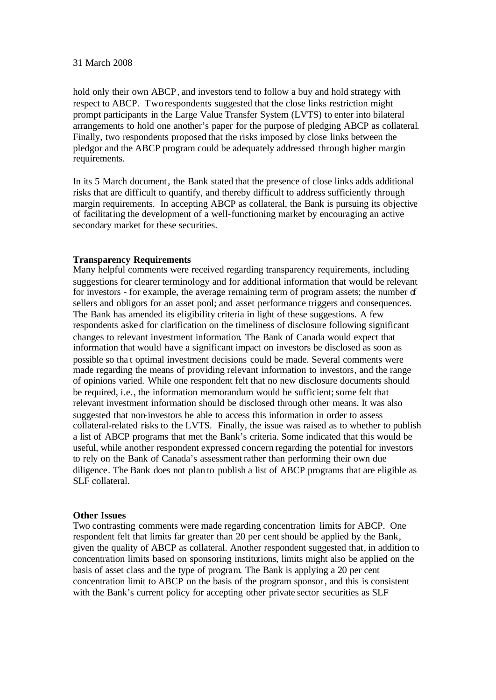#### 31 March 2008

hold only their own ABCP, and investors tend to follow a buy and hold strategy with respect to ABCP. Tworespondents suggested that the close links restriction might prompt participants in the Large Value Transfer System (LVTS) to enter into bilateral arrangements to hold one another's paper for the purpose of pledging ABCP as collateral. Finally, two respondents proposed that the risks imposed by close links between the pledgor and the ABCP program could be adequately addressed through higher margin requirements.

In its 5 March document, the Bank stated that the presence of close links adds additional risks that are difficult to quantify, and thereby difficult to address sufficiently through margin requirements. In accepting ABCP as collateral, the Bank is pursuing its objective of facilitating the development of a well-functioning market by encouraging an active secondary market for these securities.

# **Transparency Requirements**

Many helpful comments were received regarding transparency requirements, including suggestions for clearer terminology and for additional information that would be relevant for investors - for example, the average remaining term of program assets; the number of sellers and obligors for an asset pool; and asset performance triggers and consequences. The Bank has amended its eligibility criteria in light of these suggestions. A few respondents asked for clarification on the timeliness of disclosure following significant changes to relevant investment information*.* The Bank of Canada would expect that information that would have a significant impact on investors be disclosed as soon as possible so tha t optimal investment decisions could be made. Several comments were made regarding the means of providing relevant information to investors, and the range of opinions varied. While one respondent felt that no new disclosure documents should be required, i.e., the information memorandum would be sufficient; some felt that relevant investment information should be disclosed through other means. It was also suggested that non-investors be able to access this information in order to assess collateral-related risks to the LVTS. Finally, the issue was raised as to whether to publish a list of ABCP programs that met the Bank's criteria. Some indicated that this would be useful, while another respondent expressed concern regarding the potential for investors to rely on the Bank of Canada's assessment rather than performing their own due diligence. The Bank does not plan to publish a list of ABCP programs that are eligible as SLF collateral.

## **Other Issues**

Two contrasting comments were made regarding concentration limits for ABCP. One respondent felt that limits far greater than 20 per cent should be applied by the Bank, given the quality of ABCP as collateral. Another respondent suggested that, in addition to concentration limits based on sponsoring institutions, limits might also be applied on the basis of asset class and the type of program. The Bank is applying a 20 per cent concentration limit to ABCP on the basis of the program sponsor, and this is consistent with the Bank's current policy for accepting other private sector securities as SLF